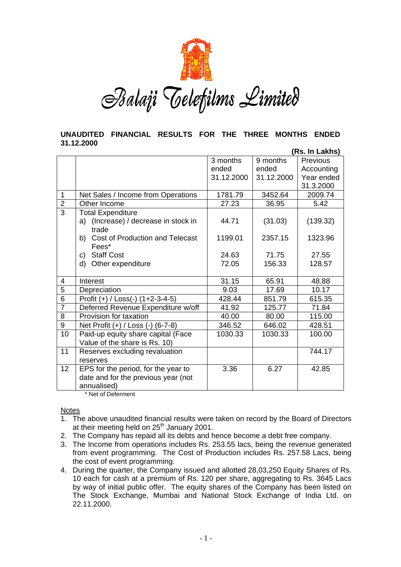

Balaji Telefilms Limited

#### **UNAUDITED FINANCIAL RESULTS FOR THE THREE MONTHS ENDED 31.12.2000 (Rs. In Lakhs)**

|                |                                               | (RS. In Lakhs) |            |                 |
|----------------|-----------------------------------------------|----------------|------------|-----------------|
|                |                                               | 3 months       | 9 months   | <b>Previous</b> |
|                |                                               | ended          | ended      | Accounting      |
|                |                                               | 31.12.2000     | 31.12.2000 | Year ended      |
|                |                                               |                |            | 31.3.2000       |
| 1              | Net Sales / Income from Operations            | 1781.79        | 3452.64    | 2009.74         |
| $\overline{2}$ | Other Income                                  | 27.23          | 36.95      | 5.42            |
| $\overline{3}$ | <b>Total Expenditure</b>                      |                |            |                 |
|                | a) (Increase) / decrease in stock in<br>trade | 44.71          | (31.03)    | (139.32)        |
|                | Cost of Production and Telecast<br>b)         | 1199.01        | 2357.15    | 1323.96         |
|                | Fees*                                         |                |            |                 |
|                | <b>Staff Cost</b><br>C)                       | 24.63          | 71.75      | 27.55           |
|                | d)<br>Other expenditure                       | 72.05          | 156.33     | 128.57          |
|                |                                               |                |            |                 |
| 4              | Interest                                      | 31.15          | 65.91      | 48.88           |
| 5              | Depreciation                                  | 9.03           | 17.69      | 10.17           |
| $\overline{6}$ | Profit $(+)$ / Loss(-) $(1+2-3-4-5)$          | 428.44         | 851.79     | 615.35          |
| $\overline{7}$ | Deferred Revenue Expenditure w/off            | 41.92          | 125.77     | 71.84           |
| 8              | Provision for taxation                        | 40.00          | 80.00      | 115.00          |
| 9              | Net Profit (+) / Loss (-) (6-7-8)             | 346.52         | 646.02     | 428.51          |
| 10             | Paid-up equity share capital (Face            | 1030.33        | 1030.33    | 100.00          |
|                | Value of the share is Rs. 10)                 |                |            |                 |
| 11             | Reserves excluding revaluation                |                |            | 744.17          |
|                | reserves                                      |                |            |                 |
| 12             | EPS for the period, for the year to           | 3.36           | 6.27       | 42.85           |
|                | date and for the previous year (not           |                |            |                 |
|                | annualised)                                   |                |            |                 |

\* Net of Deferment

**Notes** 

- 1. The above unaudited financial results were taken on record by the Board of Directors at their meeting held on 25<sup>th</sup> January 2001.
- 2. The Company has repaid all its debts and hence become a debt free company.
- 3. The Income from operations includes Rs. 253.55 lacs, being the revenue generated from event programming. The Cost of Production includes Rs. 257.58 Lacs, being the cost of event programming.
- 4. During the quarter, the Company issued and allotted 28,03,250 Equity Shares of Rs. 10 each for cash at a premium of Rs. 120 per share, aggregating to Rs. 3645 Lacs by way of initial public offer. The equity shares of the Company has been listed on The Stock Exchange, Mumbai and National Stock Exchange of India Ltd. on 22.11.2000.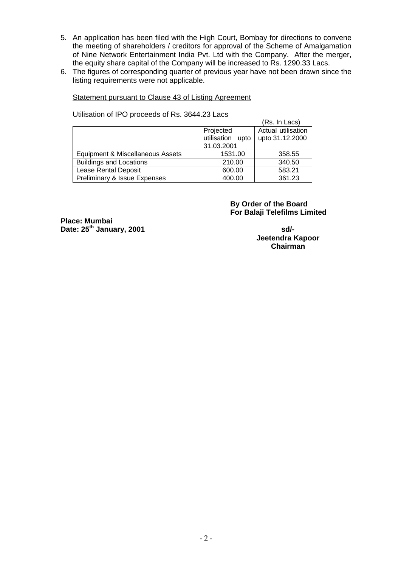- 5. An application has been filed with the High Court, Bombay for directions to convene the meeting of shareholders / creditors for approval of the Scheme of Amalgamation of Nine Network Entertainment India Pvt. Ltd with the Company. After the merger, the equity share capital of the Company will be increased to Rs. 1290.33 Lacs.
- 6. The figures of corresponding quarter of previous year have not been drawn since the listing requirements were not applicable.

## Statement pursuant to Clause 43 of Listing Agreement

Utilisation of IPO proceeds of Rs. 3644.23 Lacs

|                                         |                     | (Rs. In Lacs)      |
|-----------------------------------------|---------------------|--------------------|
|                                         | Projected           | Actual utilisation |
|                                         | utilisation<br>upto | upto 31.12.2000    |
|                                         | 31.03.2001          |                    |
| Equipment & Miscellaneous Assets        | 1531.00             | 358.55             |
| <b>Buildings and Locations</b>          | 210.00              | 340.50             |
| <b>Lease Rental Deposit</b>             | 600.00              | 583.21             |
| <b>Preliminary &amp; Issue Expenses</b> | 400.00              | 361.23             |

 **By Order of the Board For Balaji Telefilms Limited** 

**Place: Mumbai Date: 25<sup>th</sup> January, 2001** sd/-

**Jeetendra Kapoor Chairman**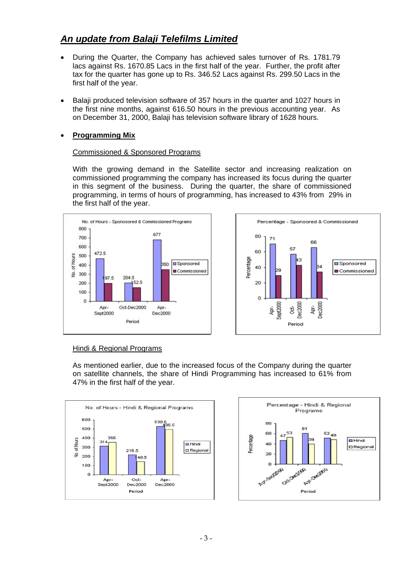# *An update from Balaji Telefilms Limited*

- During the Quarter, the Company has achieved sales turnover of Rs. 1781.79 lacs against Rs. 1670.85 Lacs in the first half of the year. Further, the profit after tax for the quarter has gone up to Rs. 346.52 Lacs against Rs. 299.50 Lacs in the first half of the year.
- Balaji produced television software of 357 hours in the quarter and 1027 hours in the first nine months, against 616.50 hours in the previous accounting year. As on December 31, 2000, Balaji has television software library of 1628 hours.

# • **Programming Mix**

## Commissioned & Sponsored Programs

With the growing demand in the Satellite sector and increasing realization on commissioned programming the company has increased its focus during the quarter in this segment of the business. During the quarter, the share of commissioned programming, in terms of hours of programming, has increased to 43% from 29% in the first half of the year.





## Hindi & Regional Programs

As mentioned earlier, due to the increased focus of the Company during the quarter on satellite channels, the share of Hindi Programming has increased to 61% from 47% in the first half of the year.



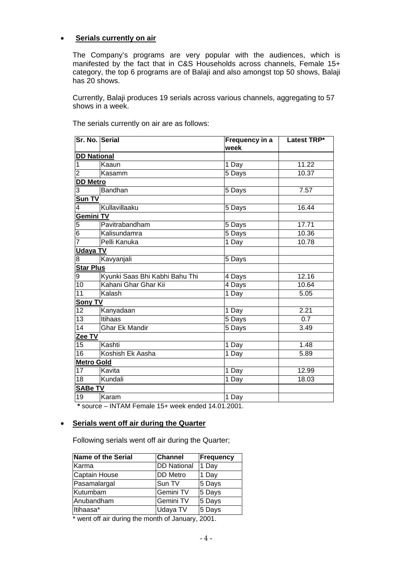## • **Serials currently on air**

The Company's programs are very popular with the audiences, which is manifested by the fact that in C&S Households across channels, Female 15+ category, the top 6 programs are of Balaji and also amongst top 50 shows, Balaji has 20 shows.

Currently, Balaji produces 19 serials across various channels, aggregating to 57 shows in a week.

| Sr. No. Serial     |                                | Frequency in a<br>week | Latest TRP* |
|--------------------|--------------------------------|------------------------|-------------|
| <b>DD National</b> |                                |                        |             |
| 1                  | Kaaun                          | 1 Day                  | 11.22       |
| $\overline{2}$     | Kasamm                         | 5 Days                 | 10.37       |
| <b>DD Metro</b>    |                                |                        |             |
| 3                  | <b>Bandhan</b>                 | 5 Days                 | 7.57        |
| Sun TV             |                                |                        |             |
| 4                  | Kullavillaaku                  | 5 Days                 | 16.44       |
| <b>Gemini TV</b>   |                                |                        |             |
| 5                  | Pavitrabandham                 | 5 Days                 | 17.71       |
| $\overline{6}$     | Kalisundamra                   | 5 Days                 | 10.36       |
| 7                  | Pelli Kanuka                   | 1 Day                  | 10.78       |
| <b>Udaya TV</b>    |                                |                        |             |
| 8                  | Kavyanjali                     | 5 Days                 |             |
| <b>Star Plus</b>   |                                |                        |             |
| 9                  | Kyunki Saas Bhi Kabhi Bahu Thi | 4 Days                 | 12.16       |
| 10                 | Kahani Ghar Ghar Kii           | 4 Days                 | 10.64       |
| 11                 | Kalash                         | 1 Day                  | 5.05        |
| Sony TV            |                                |                        |             |
| 12                 | Kanyadaan                      | 1 Day                  | 2.21        |
| 13                 | Itihaas                        | 5 Days                 | 0.7         |
| 14                 | <b>Ghar Ek Mandir</b>          | 5 Days                 | 3.49        |
| Zee TV             |                                |                        |             |
| 15                 | Kashti                         | 1 Day                  | 1.48        |
| 16                 | Koshish Ek Aasha               | 1 Day                  | 5.89        |
| <b>Metro Gold</b>  |                                |                        |             |
| 17                 | Kavita                         | 1 Day                  | 12.99       |
| 18                 | Kundali                        | 1 Day                  | 18.03       |
| <b>SABe TV</b>     |                                |                        |             |
| 19                 | Karam                          | 1 Day                  |             |

The serials currently on air are as follows:

 **\*** source – INTAM Female 15+ week ended 14.01.2001.

#### • **Serials went off air during the Quarter**

Following serials went off air during the Quarter;

| <b>Name of the Serial</b> | <b>Channel</b>     | Frequency |  |
|---------------------------|--------------------|-----------|--|
| Karma                     | <b>DD National</b> | 1 Day     |  |
| <b>Captain House</b>      | DD Metro           | 1 Day     |  |
| Pasamalargal              | Sun TV             | 5 Days    |  |
| Kutumbam                  | Gemini TV          | 5 Days    |  |
| Anubandham                | Gemini TV          | 5 Days    |  |
| Itihaasa*                 | Udaya TV           | 5 Days    |  |
| .                         |                    |           |  |

\* went off air during the month of January, 2001.